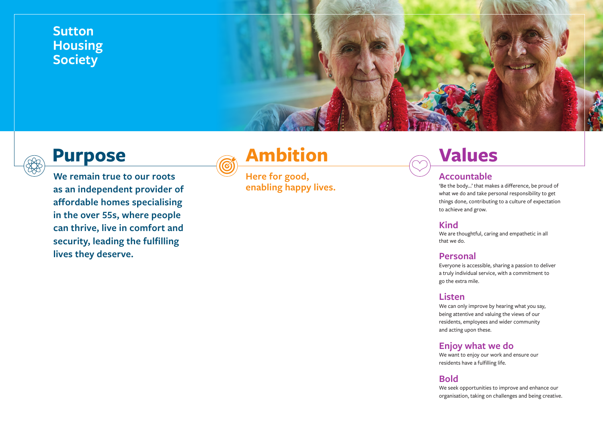### **Sutton Housing Society**



### **Purpose**

**We remain true to our roots as an independent provider of affordable homes specialising in the over 55s, where people can thrive, live in comfort and security, leading the fulfilling lives they deserve.**

## **Ambition**

**Here for good, enabling happy lives.**

## **Values**

#### **Accountable**

'Be the body…' that makes a difference, be proud of what we do and take personal responsibility to get things done, contributing to a culture of expectation to achieve and grow.

#### **Kind**

We are thoughtful, caring and empathetic in all that we do.

#### **Personal**

Everyone is accessible, sharing a passion to deliver a truly individual service, with a commitment to go the extra mile.

#### **Listen**

We can only improve by hearing what you say, being attentive and valuing the views of our residents, employees and wider community and acting upon these.

#### **Enjoy what we do**

We want to enjoy our work and ensure our residents have a fulfilling life.

#### **Bold**

We seek opportunities to improve and enhance our organisation, taking on challenges and being creative.